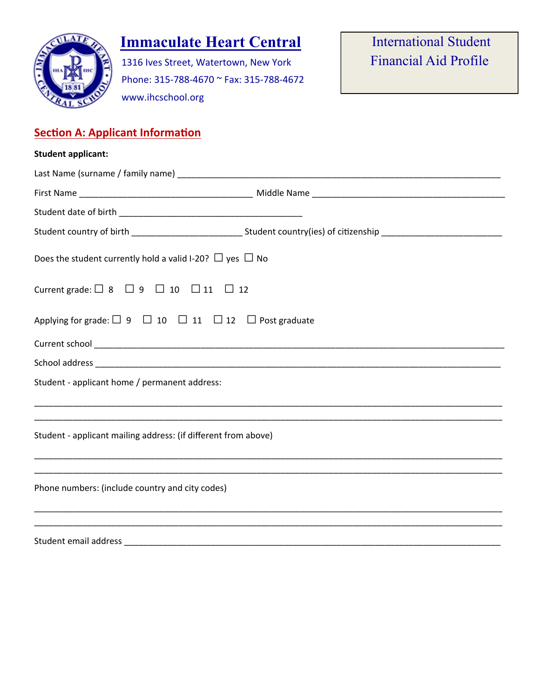

# **Immaculate Heart Central International Student**

1316 Ives Street, Watertown, New York Phone: 315-788-4670 ~ Fax: 315-788-4672 www.ihcschool.org

## **Section A: Applicant Information**

| <b>Student applicant:</b>                                                       |                                                                                                                      |
|---------------------------------------------------------------------------------|----------------------------------------------------------------------------------------------------------------------|
|                                                                                 |                                                                                                                      |
|                                                                                 |                                                                                                                      |
|                                                                                 |                                                                                                                      |
|                                                                                 | Student country of birth _______________________________Student country(ies) of citizenship ________________________ |
| Does the student currently hold a valid I-20? $\Box$ yes $\Box$ No              |                                                                                                                      |
| Current grade: $\Box$ 8 $\Box$ 9 $\Box$ 10 $\Box$ 11 $\Box$ 12                  |                                                                                                                      |
| Applying for grade: $\Box$ 9 $\Box$ 10 $\Box$ 11 $\Box$ 12 $\Box$ Post graduate |                                                                                                                      |
|                                                                                 |                                                                                                                      |
|                                                                                 |                                                                                                                      |
| Student - applicant home / permanent address:                                   |                                                                                                                      |
| Student - applicant mailing address: (if different from above)                  |                                                                                                                      |
| Phone numbers: (include country and city codes)                                 |                                                                                                                      |
| Student email address                                                           |                                                                                                                      |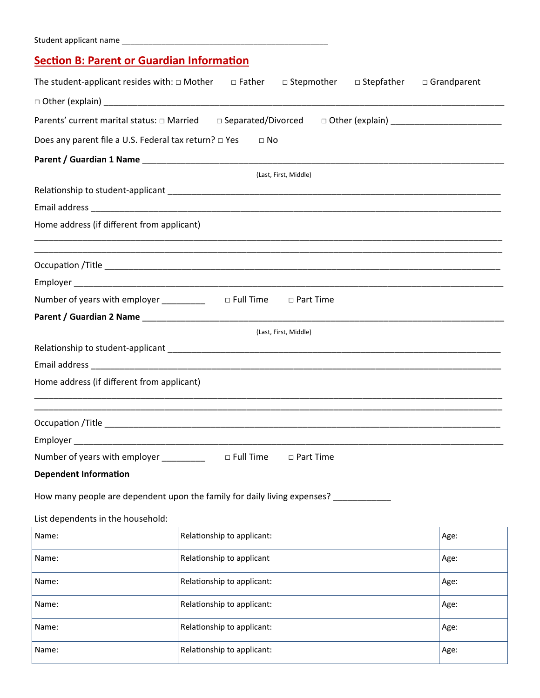## **Section B: Parent or Guardian Information**

| The student-applicant resides with: $\Box$ Mother $\Box$ Father $\Box$ Stepmother $\Box$ Stepfather                                                                                                                                 |                            |                       |  | $\Box$ Grandparent |
|-------------------------------------------------------------------------------------------------------------------------------------------------------------------------------------------------------------------------------------|----------------------------|-----------------------|--|--------------------|
|                                                                                                                                                                                                                                     |                            |                       |  |                    |
|                                                                                                                                                                                                                                     |                            |                       |  |                    |
| Does any parent file a U.S. Federal tax return? □ Yes                                                                                                                                                                               | $\Box$ No                  |                       |  |                    |
|                                                                                                                                                                                                                                     |                            |                       |  |                    |
|                                                                                                                                                                                                                                     |                            | (Last, First, Middle) |  |                    |
|                                                                                                                                                                                                                                     |                            |                       |  |                    |
|                                                                                                                                                                                                                                     |                            |                       |  |                    |
| Home address (if different from applicant)                                                                                                                                                                                          |                            |                       |  |                    |
|                                                                                                                                                                                                                                     |                            |                       |  |                    |
|                                                                                                                                                                                                                                     |                            |                       |  |                    |
|                                                                                                                                                                                                                                     |                            |                       |  |                    |
| Number of years with employer _________                                                                                                                                                                                             | $\Box$ Full Time           | □ Part Time           |  |                    |
| Parent / Guardian 2 Name <b>Access 2 Name Access 2 Name Access 2 Name Access</b> 2 Name Access 2 Name Access 2 Name Access 2 Name Access 2 Name Access 2 Name Access 2 Name Access 2 Name Access 2 Name Access 2 Name Access 2 Name |                            |                       |  |                    |
|                                                                                                                                                                                                                                     |                            | (Last, First, Middle) |  |                    |
|                                                                                                                                                                                                                                     |                            |                       |  |                    |
|                                                                                                                                                                                                                                     |                            |                       |  |                    |
| Home address (if different from applicant)                                                                                                                                                                                          |                            |                       |  |                    |
|                                                                                                                                                                                                                                     |                            |                       |  |                    |
|                                                                                                                                                                                                                                     |                            |                       |  |                    |
|                                                                                                                                                                                                                                     |                            |                       |  |                    |
| Number of years with employer _________                                                                                                                                                                                             | $\Box$ Full Time           | $\Box$ Part Time      |  |                    |
| <b>Dependent Information</b>                                                                                                                                                                                                        |                            |                       |  |                    |
| How many people are dependent upon the family for daily living expenses?                                                                                                                                                            |                            |                       |  |                    |
| List dependents in the household:                                                                                                                                                                                                   |                            |                       |  |                    |
| Name:                                                                                                                                                                                                                               | Relationship to applicant: |                       |  | Age:               |
|                                                                                                                                                                                                                                     |                            |                       |  |                    |
| Name:                                                                                                                                                                                                                               | Relationship to applicant  |                       |  | Age:               |
| Name:                                                                                                                                                                                                                               | Relationship to applicant: |                       |  | Age:               |
| Name:                                                                                                                                                                                                                               | Relationship to applicant: |                       |  | Age:               |
| Name:                                                                                                                                                                                                                               | Relationship to applicant: |                       |  | Age:               |
| Name:                                                                                                                                                                                                                               | Relationship to applicant: |                       |  | Age:               |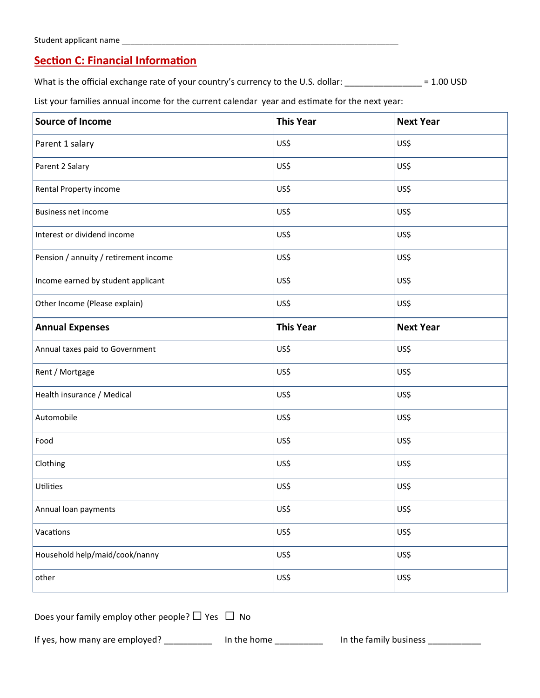#### **Section C: Financial Information**

What is the official exchange rate of your country's currency to the U.S. dollar: \_\_\_\_\_\_\_\_\_\_\_\_\_\_\_\_ = 1.00 USD

List your families annual income for the current calendar year and estimate for the next year:

| <b>Source of Income</b>               | <b>This Year</b> | <b>Next Year</b> |
|---------------------------------------|------------------|------------------|
| Parent 1 salary                       | US\$             | US\$             |
| Parent 2 Salary                       | US\$             | US\$             |
| Rental Property income                | US\$             | US\$             |
| Business net income                   | US\$             | US\$             |
| Interest or dividend income           | US\$             | US\$             |
| Pension / annuity / retirement income | US\$             | US\$             |
| Income earned by student applicant    | US\$             | US\$             |
| Other Income (Please explain)         | US\$             | US\$             |
| <b>Annual Expenses</b>                | <b>This Year</b> | <b>Next Year</b> |
| Annual taxes paid to Government       | US\$             | US\$             |
| Rent / Mortgage                       | US\$             | US\$             |
| Health insurance / Medical            | US\$             | US\$             |
| Automobile                            | US\$             | US\$             |
| Food                                  | US\$             | US\$             |
| Clothing                              | US\$             | US\$             |
| Utilities                             | US\$             | US\$             |
| Annual loan payments                  | US\$             | US\$             |
| Vacations                             | US\$             | US\$             |
| Household help/maid/cook/nanny        | US\$             | US\$             |
| other                                 | US\$             | US\$             |

| Does your family employ other people? $\Box$ Yes $\Box$ No |  |
|------------------------------------------------------------|--|
|                                                            |  |

If yes, how many are employed? \_\_\_\_\_\_\_\_\_\_\_ In the home \_\_\_\_\_\_\_\_\_\_ In the family business \_\_\_\_\_\_\_\_\_\_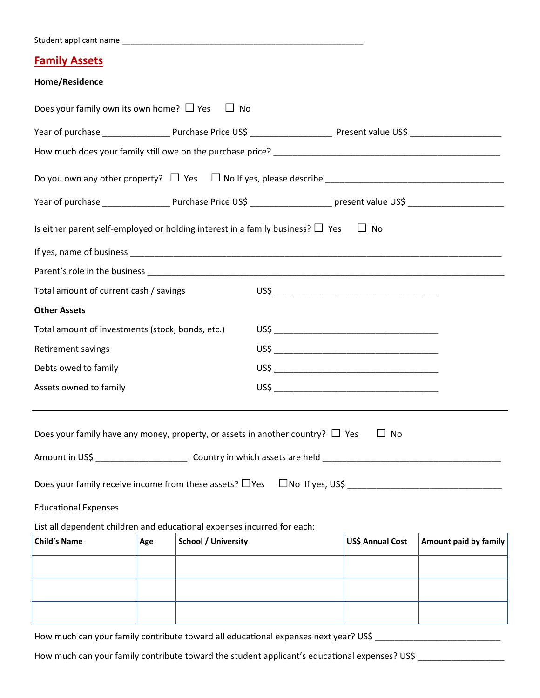| Student applicant name |  |
|------------------------|--|
|                        |  |
|                        |  |

#### **Family Assets**

#### **Home/Residence**

| Does your family own its own home? $\Box$ Yes                                                 |     |                            | $\Box$ No |  |  |                  |                       |  |  |
|-----------------------------------------------------------------------------------------------|-----|----------------------------|-----------|--|--|------------------|-----------------------|--|--|
|                                                                                               |     |                            |           |  |  |                  |                       |  |  |
|                                                                                               |     |                            |           |  |  |                  |                       |  |  |
|                                                                                               |     |                            |           |  |  |                  |                       |  |  |
|                                                                                               |     |                            |           |  |  |                  |                       |  |  |
| Is either parent self-employed or holding interest in a family business? $\Box$ Yes $\Box$ No |     |                            |           |  |  |                  |                       |  |  |
|                                                                                               |     |                            |           |  |  |                  |                       |  |  |
|                                                                                               |     |                            |           |  |  |                  |                       |  |  |
| Total amount of current cash / savings                                                        |     |                            |           |  |  |                  |                       |  |  |
| <b>Other Assets</b>                                                                           |     |                            |           |  |  |                  |                       |  |  |
| Total amount of investments (stock, bonds, etc.)                                              |     |                            |           |  |  |                  |                       |  |  |
| Retirement savings                                                                            |     |                            |           |  |  |                  |                       |  |  |
| Debts owed to family                                                                          |     |                            |           |  |  |                  |                       |  |  |
| Assets owned to family                                                                        |     |                            |           |  |  |                  |                       |  |  |
| Does your family have any money, property, or assets in another country? $\Box$ Yes           |     |                            |           |  |  | $\Box$ No        |                       |  |  |
| Does your family receive income from these assets? $\Box$ Yes $\Box$ No If yes, US\$ $\Box$   |     |                            |           |  |  |                  |                       |  |  |
| <b>Educational Expenses</b>                                                                   |     |                            |           |  |  |                  |                       |  |  |
| List all dependent children and educational expenses incurred for each:                       |     |                            |           |  |  |                  |                       |  |  |
| <b>Child's Name</b>                                                                           | Age | <b>School / University</b> |           |  |  | US\$ Annual Cost | Amount paid by family |  |  |
|                                                                                               |     |                            |           |  |  |                  |                       |  |  |
|                                                                                               |     |                            |           |  |  |                  |                       |  |  |
|                                                                                               |     |                            |           |  |  |                  |                       |  |  |

How much can your family contribute toward all educational expenses next year? US\$ \_\_\_\_\_\_\_\_\_\_\_\_\_\_\_\_\_\_\_\_\_\_\_\_\_\_\_

How much can your family contribute toward the student applicant's educational expenses? US\$ \_\_\_\_\_\_\_\_\_\_\_\_\_\_\_\_\_